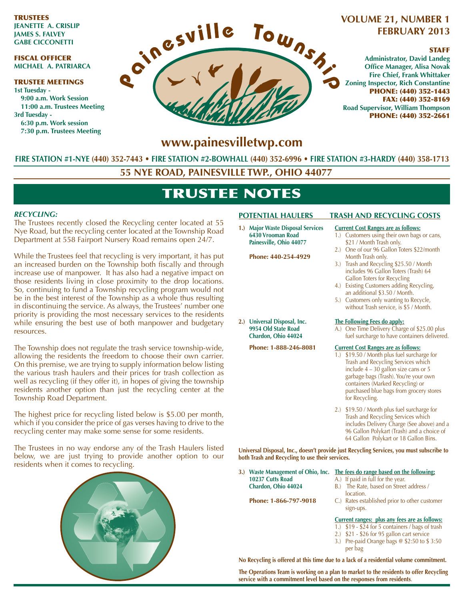TRUSTEES **JEANETTE A. CRISLIP JAMES S. FALVEY GABE CICCONETTI**

### FISCAL OFFICER **MICHAEL A. PATRIARCA**

#### TRUSTEE MEETINGS **1st Tuesday - 9:00 a.m. Work Session 11:00 a.m. Trustees Meeting 3rd Tuesday - 6:30 p.m. Work session 7:30 p.m. Trustees Meeting**



### **VOLUME 21, NUMBER 1 FEBRUARY 2013**

### STAFF

**Administrator, David Landeg Office Manager, Alisa Novak Fire Chief, Frank Whittaker Zoning Inspector, Rich Constantine** PHONE: (440) 352-1443 FAX: (440) 352-8169 **Road Supervisor, William Thompson** PHONE: (440) 352-2661

## www.painesvilletwp.com

**FIRE STATION #1-NYE (440) 352-7443FIRE STATION #2-BOWHALL FIRE STATION #3-HARDY (440) 358-1713**

**55 NYE ROAD, PAINESVILLE TWP., OHIO 44077**

# TRUSTEE NOTES

### *RECYCLING:*

The Trustees recently closed the Recycling center located at 55 Nye Road, but the recycling center located at the Township Road Department at 558 Fairport Nursery Road remains open 24/7.

While the Trustees feel that recycling is very important, it has put an increased burden on the Township both fiscally and through increase use of manpower. It has also had a negative impact on those residents living in close proximity to the drop locations. So, continuing to fund a Township recycling program would not be in the best interest of the Township as a whole thus resulting in discontinuing the service. As always, the Trustees' number one priority is providing the most necessary services to the residents while ensuring the best use of both manpower and budgetary resources.

The Township does not regulate the trash service township-wide, allowing the residents the freedom to choose their own carrier. On this premise, we are trying to supply information below listing the various trash haulers and their prices for trash collection as well as recycling (if they offer it), in hopes of giving the township residents another option than just the recycling center at the Township Road Department.

The highest price for recycling listed below is \$5.00 per month, which if you consider the price of gas verses having to drive to the recycling center may make some sense for some residents.

The Trustees in no way endorse any of the Trash Haulers listed below, we are just trying to provide another option to our residents when it comes to recycling.



**1.) Major Waste Disposal Services Current Cost Ranges are as follows:**<br>6430 Vrooman Road **1.**) Customers using their own bags **Painesville, Ohio 44077** \$21 / Month Trash only.

**Phone: 440-254-4929** Month Trash only.

### **POTENTIAL HAULERS TRASH AND RECYCLING COSTS**

- **1.)** Customers using their own bags or cans,
- 2.) One of our 96 Gallon Toters \$22/month
- 3.) Trash and Recycling \$25.50 / Month includes 96 Gallon Toters (Trash) 64 Gallon Toters for Recycling
- 4.) Existing Customers adding Recycling, an additional \$3.50 / Month.
- 5.) Customers only wanting to Recycle, without Trash service, is \$5 / Month.

# **2.) Universal Disposal, Inc.**<br>**2.) 10.11 <b>11.12. 11.12. 11.12. 12.13. 12.13. 2.13. 2.13. 2.13. 2.13. 2.13. 2.13. 2.13. 2.13. 2.13. 2.13. 2.13. 2.13. 2.13. 2.13. 2.13. 2.13. 2.**

A.) One Time Delivery Charge of \$25.00 plus **Chardon, Ohio 44024** fuel surcharge to have containers delivered.

#### **Phone: 1-888-246-8081** *Current Cost Ranges are as follows:*

- 1.) \$19.50 / Month plus fuel surcharge for Trash and Recycling Services which include 4 – 30 gallon size cans or 5 garbage bags (Trash). You're your own containers (Marked Recycling) or purchased blue bags from grocery stores for Recycling.
- 2.) \$19.50 / Month plus fuel surcharge for Trash and Recycling Services which includes Delivery Charge (See above) and a 96 Gallon Polykart (Trash) and a choice of 64 Gallon Polykart or 18 Gallon Bins.

Universal Disposal, Inc., doesn't provide just Recycling Services, you must subscribe to **Iverthere Interpretate Incoherence Islands** Recycling to use their services.

3.) Waste Management of Ohio, Inc. The fees do range based on the following: **10237 Cutts Road** A.) If paid in full for the year.<br>**Chardon, Ohio 44024** B.) The Rate, based on Street

location.<br>**Phone: 1-866-797-9018** C.) Rates esta

- 
- 
- **B.)** The Rate, based on Street address /
- C.) Rates established prior to other customer sign-ups.

#### **Current ranges: plus any fees are as follows:**

- 1.) \$19 \$24 for 5 containers / bags of trash
- 2.) \$21 \$26 for 95 gallon cart service
- 3.) Pre-paid Orange bags @ \$2:50 to \$ 3:50 per bag

No Recycling is offered at this time due to a lack of a residential volume commitment.

The Operations Team is working on a plan to market to the residents to offer Recycling service with a commitment level based on the responses from residents.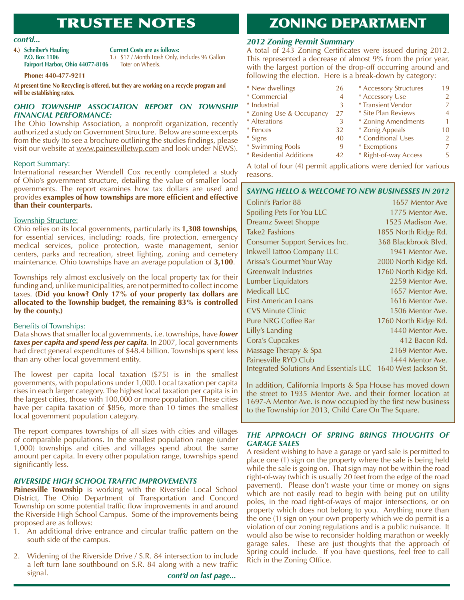# TRUSTEE NOTES

4.) **Scheiber's Hauling** *Current Costs are as follows:* Fairport Harbor, Ohio 44077-8106 Toter on Wheels.

**P.O. Box 1106** 1.) \$17 / Month Trash Only, includes 96 Gallon

#### **Phone: 440-477-9211**

At present time No Recycling is offered, but they are working on a recycle program and will be establishing rates.

### *OHIO TOWNSHIP ASSOCIATION REPORT ON TOWNSHIP FINANCIAL PERFORMANCE:*

The Ohio Township Association, a nonprofit organization, recently authorized a study on Government Structure. Below are some excerpts from the study (to see a brochure outlining the studies findings, please visit our website at www.painesvilletwp.com and look under NEWS).

### Report Summary:

International researcher Wendell Cox recently completed a study of Ohio's government structure, detailing the value of smaller local governments. The report examines how tax dollars are used and provides **examples of how townships are more efficient and effective than their counterparts.** 

#### Township Structure:

Ohio relies on its local governments, particularly its **1,308 townships**, for essential services, including: roads, fire protection, emergency medical services, police protection, waste management, senior centers, parks and recreation, street lighting, zoning and cemetery maintenance. Ohio townships have an average population of **3,100**.

Townships rely almost exclusively on the local property tax for their funding and, unlike municipalities, are not permitted to collect income taxes. **(Did you know? Only 17% of your property tax dollars are** allocated to the Township budget, the remaining 83% is controlled by the county.)

#### Benefits of Townships:

Data shows that smaller local governments, i.e. townships, have *lower taxes per capita and spend less per capita*. In 2007, local governments had direct general expenditures of \$48.4 billion. Townships spent less than any other local government entity.

The lowest per capita local taxation (\$75) is in the smallest governments, with populations under 1,000. Local taxation per capita rises in each larger category. The highest local taxation per capita is in the largest cities, those with 100,000 or more population. These cities have per capita taxation of \$856, more than 10 times the smallest local government population category.

The report compares townships of all sizes with cities and villages of comparable populations. In the smallest population range (under 1,000) townships and cities and villages spend about the same amount per capita. In every other population range, townships spend significantly less.

### *RIVERSIDE HIGH SCHOOL TRAFFIC IMPROVEMENTS*

**Painesville Township** is working with the Riverside Local School District, The Ohio Department of Transportation and Concord Township on some potential traffic flow improvements in and around the Riverside High School Campus. Some of the improvements being proposed are as follows:

- 1. An additional drive entrance and circular traffic pattern on the south side of the campus.
- 2. Widening of the Riverside Drive / S.R. 84 intersection to include a left turn lane southbound on S.R. 84 along with a new traffic signal. *cont'd on last page...*

ZONING DEPARTMENT

### *cont'd... 2012 Zoning Permit Summary*

A total of 243 Zoning Certificates were issued during 2012. This represented a decrease of almost 9% from the prior year, with the largest portion of the drop-off occurring around and following the election. Here is a break-down by category:

\* New dwellings 26 \* Commercial 4 \* Industrial 3 \* Zoning Use & Occupancy 27 \* Alterations 3 \* Fences 32  $*$  Signs 40 \* Swimming Pools 9 \* Residential Additions 42 \* Accessory Structures 19 \* Accessory Use 2 \* Transient Vendor 7 \* Site Plan Reviews 4 \* Zoning Amendments 1 \* Zonig Appeals 10 \* Conditional Uses 2 \* Exemptions 7 \* Right-of-way Access 5

A total of four (4) permit applications were denied for various reasons.

### *SAYING HELLO & WELCOME TO NEW BUSINESSES IN 2012*

| Colini's Parlor 88                                            | 1657 Mentor Ave      |
|---------------------------------------------------------------|----------------------|
| Spoiling Pets For You LLC                                     | 1775 Mentor Ave.     |
| <b>Dreamz Sweet Shoppe</b>                                    | 1525 Madison Ave.    |
| Take2 Fashions                                                | 1855 North Ridge Rd. |
| <b>Consumer Support Services Inc.</b>                         | 368 Blackbrook Blvd. |
| Inkwell Tattoo Company LLC                                    | 1941 Mentor Ave.     |
| Arissa's Gourmet Your Way                                     | 2000 North Ridge Rd. |
| Greenwalt Industries                                          | 1760 North Ridge Rd. |
| Lumber Liquidators                                            | 2259 Mentor Ave.     |
| Medicall LLC                                                  | 1657 Mentor Ave.     |
| <b>First American Loans</b>                                   | 1616 Mentor Ave.     |
| <b>CVS Minute Clinic</b>                                      | 1506 Mentor Ave.     |
| Pure NRG Coffee Bar                                           | 1760 North Ridge Rd. |
| Lilly's Landing                                               | 1440 Mentor Ave.     |
| Cora's Cupcakes                                               | 412 Bacon Rd.        |
| Massage Therapy & Spa                                         | 2169 Mentor Ave.     |
| Painesville RYO Club                                          | 1444 Mentor Ave.     |
| Integrated Solutions And Essentials LLC 1640 West Jackson St. |                      |

In addition, California Imports & Spa House has moved down the street to 1935 Mentor Ave. and their former location at 1697-A Mentor Ave. is now occupied by the first new business to the Township for 2013, Child Care On The Square.

### *THE APPROACH OF SPRING BRINGS THOUGHTS OF GARAGE SALES*

A resident wishing to have a garage or yard sale is permitted to place one (1) sign on the property where the sale is being held while the sale is going on. That sign may not be within the road right-of-way (which is usually 20 feet from the edge of the road pavement). Please don't waste your time or money on signs which are not easily read to begin with being put on utility poles, in the road right-of-ways of major intersections, or on property which does not belong to you. Anything more than the one (1) sign on your own property which we do permit is a violation of our zoning regulations and is a public nuisance. It would also be wise to reconsider holding marathon or weekly garage sales. These are just thoughts that the approach of Spring could include. If you have questions, feel free to call Rich in the Zoning Office.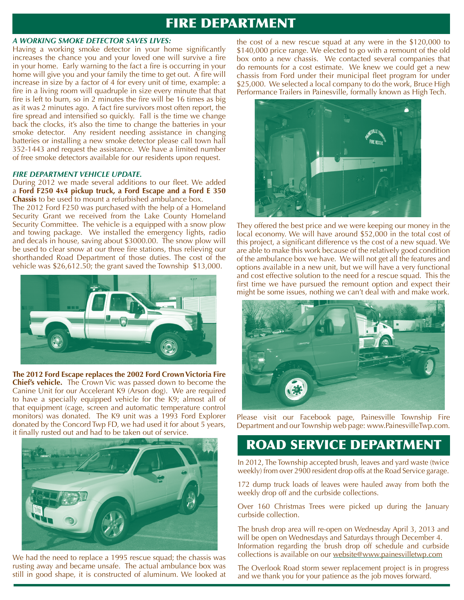# FIRE DEPARTMENT

#### *A WORKING SMOKE DETECTOR SAVES LIVES:*

Having a working smoke detector in your home significantly increases the chance you and your loved one will survive a fire in your home. Early warning to the fact a fire is occurring in your home will give you and your family the time to get out. A fire will increase in size by a factor of 4 for every unit of time, example: a fire in a living room will quadruple in size every minute that that fire is left to burn, so in 2 minutes the fire will be 16 times as big as it was 2 minutes ago. A fact fire survivors most often report, the fire spread and intensified so quickly. Fall is the time we change back the clocks, it's also the time to change the batteries in your smoke detector. Any resident needing assistance in changing batteries or installing a new smoke detector please call town hall 352-1443 and request the assistance. We have a limited number of free smoke detectors available for our residents upon request.

### *FIRE DEPARTMENT VEHICLE UPDATE.*

### During 2012 we made several additions to our fleet. We added a Ford F250 4x4 pickup truck, a Ford Escape and a Ford E 350 **Chassis** to be used to mount a refurbished ambulance box.

The 2012 Ford F250 was purchased with the help of a Homeland Security Grant we received from the Lake County Homeland Security Committee. The vehicle is a equipped with a snow plow and towing package. We installed the emergency lights, radio and decals in house, saving about \$3000.00. The snow plow will be used to clear snow at our three fire stations, thus relieving our shorthanded Road Department of those duties. The cost of the vehicle was \$26,612.50; the grant saved the Township \$13,000.



The 2012 Ford Escape replaces the 2002 Ford Crown Victoria Fire **Chief's vehicle.** The Crown Vic was passed down to become the Canine Unit for our Accelerant K9 (Arson dog). We are required to have a specially equipped vehicle for the K9; almost all of that equipment (cage, screen and automatic temperature control monitors) was donated. The K9 unit was a 1993 Ford Explorer donated by the Concord Twp FD, we had used it for about 5 years, it finally rusted out and had to be taken out of service.



We had the need to replace a 1995 rescue squad; the chassis was rusting away and became unsafe. The actual ambulance box was still in good shape, it is constructed of aluminum. We looked at the cost of a new rescue squad at any were in the  $$120,000$  to \$140,000 price range. We elected to go with a remount of the old box onto a new chassis. We contacted several companies that do remounts for a cost estimate. We knew we could get a new chassis from Ford under their municipal fleet program for under \$25,000. We selected a local company to do the work, Bruce High Performance Trailers in Painesville, formally known as High Tech.



They offered the best price and we were keeping our money in the local economy. We will have around \$52,000 in the total cost of this project, a significant difference vs the cost of a new squad. We are able to make this work because of the relatively good condition of the ambulance box we have. We will not get all the features and options available in a new unit, but we will have a very functional and cost effective solution to the need for a rescue squad. This the first time we have pursued the remount option and expect their might be some issues, nothing we can't deal with and make work.



Please visit our Facebook page, Painesville Township Fire Department and our Township web page: www.PainesvilleTwp.com.

# ROAD SERVICE DEPARTMENT

In 2012, The Township accepted brush, leaves and yard waste (twice weekly) from over 2900 resident drop offs at the Road Service garage.

172 dump truck loads of leaves were hauled away from both the weekly drop off and the curbside collections.

Over 160 Christmas Trees were picked up during the January curbside collection.

The brush drop area will re-open on Wednesday April 3, 2013 and will be open on Wednesdays and Saturdays through December 4. Information regarding the brush drop off schedule and curbside collections is available on our website@www.painesvilletwp.com

The Overlook Road storm sewer replacement project is in progress and we thank you for your patience as the job moves forward.